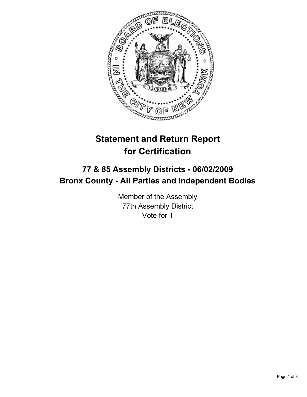

# **Statement and Return Report for Certification**

## **77 & 85 Assembly Districts - 06/02/2009 Bronx County - All Parties and Independent Bodies**

Member of the Assembly 77th Assembly District Vote for 1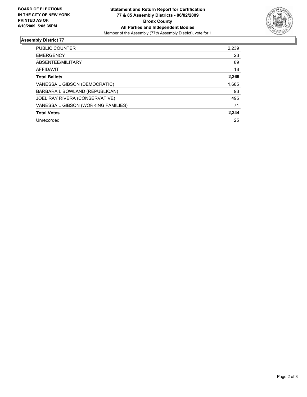

### **Assembly District 77**

| <b>PUBLIC COUNTER</b>               | 2,239 |
|-------------------------------------|-------|
| <b>EMERGENCY</b>                    | 23    |
| ABSENTEE/MILITARY                   | 89    |
| AFFIDAVIT                           | 18    |
| <b>Total Ballots</b>                | 2,369 |
| VANESSA L GIBSON (DEMOCRATIC)       | 1,685 |
| BARBARA L BOWLAND (REPUBLICAN)      | 93    |
| JOEL RAY RIVERA (CONSERVATIVE)      | 495   |
| VANESSA L GIBSON (WORKING FAMILIES) | 71    |
| <b>Total Votes</b>                  | 2.344 |
| Unrecorded                          | 25    |